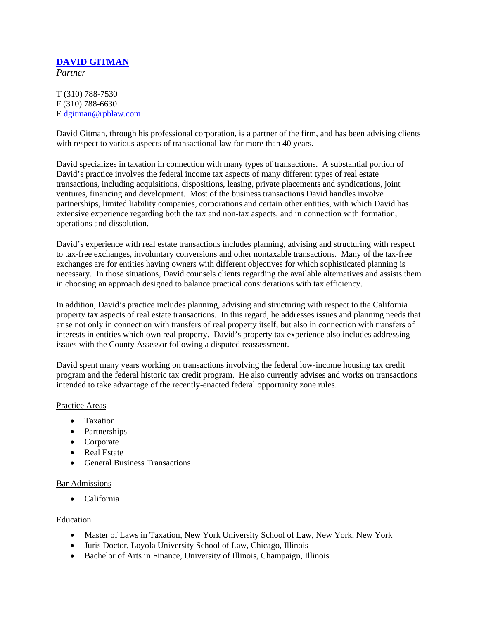# **DAVID GITMAN**

*Partner*

## T (310) 788-7530 F (310) 788-6630 E dgitman@rpblaw.com

David Gitman, through his professional corporation, is a partner of the firm, and has been advising clients with respect to various aspects of transactional law for more than 40 years.

David specializes in taxation in connection with many types of transactions. A substantial portion of David's practice involves the federal income tax aspects of many different types of real estate transactions, including acquisitions, dispositions, leasing, private placements and syndications, joint ventures, financing and development. Most of the business transactions David handles involve partnerships, limited liability companies, corporations and certain other entities, with which David has extensive experience regarding both the tax and non-tax aspects, and in connection with formation, operations and dissolution.

David's experience with real estate transactions includes planning, advising and structuring with respect to tax-free exchanges, involuntary conversions and other nontaxable transactions. Many of the tax-free exchanges are for entities having owners with different objectives for which sophisticated planning is necessary. In those situations, David counsels clients regarding the available alternatives and assists them in choosing an approach designed to balance practical considerations with tax efficiency.

In addition, David's practice includes planning, advising and structuring with respect to the California property tax aspects of real estate transactions. In this regard, he addresses issues and planning needs that arise not only in connection with transfers of real property itself, but also in connection with transfers of interests in entities which own real property. David's property tax experience also includes addressing issues with the County Assessor following a disputed reassessment.

David spent many years working on transactions involving the federal low-income housing tax credit program and the federal historic tax credit program. He also currently advises and works on transactions intended to take advantage of the recently-enacted federal opportunity zone rules.

#### Practice Areas

- Taxation
- Partnerships
- Corporate
- Real Estate
- General Business Transactions

#### Bar Admissions

• California

#### Education

- Master of Laws in Taxation, New York University School of Law, New York, New York
- Juris Doctor, Loyola University School of Law, Chicago, Illinois
- Bachelor of Arts in Finance, University of Illinois, Champaign, Illinois